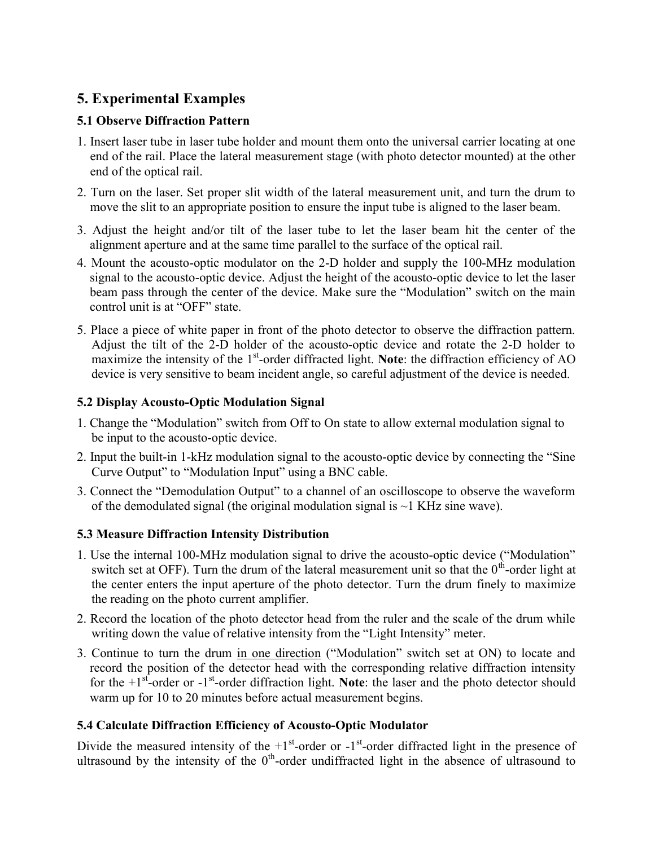# 5. Experimental Examples

# 5.1 Observe Diffraction Pattern

- 1. Insert laser tube in laser tube holder and mount them onto the universal carrier locating at one end of the rail. Place the lateral measurement stage (with photo detector mounted) at the other end of the optical rail.
- 2. Turn on the laser. Set proper slit width of the lateral measurement unit, and turn the drum to move the slit to an appropriate position to ensure the input tube is aligned to the laser beam.
- 3. Adjust the height and/or tilt of the laser tube to let the laser beam hit the center of the alignment aperture and at the same time parallel to the surface of the optical rail.
- 4. Mount the acousto-optic modulator on the 2-D holder and supply the 100-MHz modulation signal to the acousto-optic device. Adjust the height of the acousto-optic device to let the laser beam pass through the center of the device. Make sure the "Modulation" switch on the main control unit is at "OFF" state.
- 5. Place a piece of white paper in front of the photo detector to observe the diffraction pattern. Adjust the tilt of the 2-D holder of the acousto-optic device and rotate the 2-D holder to maximize the intensity of the  $1<sup>st</sup>$ -order diffracted light. Note: the diffraction efficiency of AO device is very sensitive to beam incident angle, so careful adjustment of the device is needed.

### 5.2 Display Acousto-Optic Modulation Signal

- 1. Change the "Modulation" switch from Off to On state to allow external modulation signal to be input to the acousto-optic device.
- 2. Input the built-in 1-kHz modulation signal to the acousto-optic device by connecting the "Sine Curve Output" to "Modulation Input" using a BNC cable.
- 3. Connect the "Demodulation Output" to a channel of an oscilloscope to observe the waveform of the demodulated signal (the original modulation signal is  $\sim$  1 KHz sine wave).

# 5.3 Measure Diffraction Intensity Distribution

- 1. Use the internal 100-MHz modulation signal to drive the acousto-optic device ("Modulation" switch set at OFF). Turn the drum of the lateral measurement unit so that the  $0<sup>th</sup>$ -order light at the center enters the input aperture of the photo detector. Turn the drum finely to maximize the reading on the photo current amplifier.
- 2. Record the location of the photo detector head from the ruler and the scale of the drum while writing down the value of relative intensity from the "Light Intensity" meter.
- 3. Continue to turn the drum in one direction ("Modulation" switch set at ON) to locate and record the position of the detector head with the corresponding relative diffraction intensity for the  $+1$ <sup>st</sup>-order or  $-1$ <sup>st</sup>-order diffraction light. Note: the laser and the photo detector should warm up for 10 to 20 minutes before actual measurement begins.

# 5.4 Calculate Diffraction Efficiency of Acousto-Optic Modulator

Divide the measured intensity of the  $+1$ <sup>st</sup>-order or  $-1$ <sup>st</sup>-order diffracted light in the presence of ultrasound by the intensity of the  $0<sup>th</sup>$ -order undiffracted light in the absence of ultrasound to